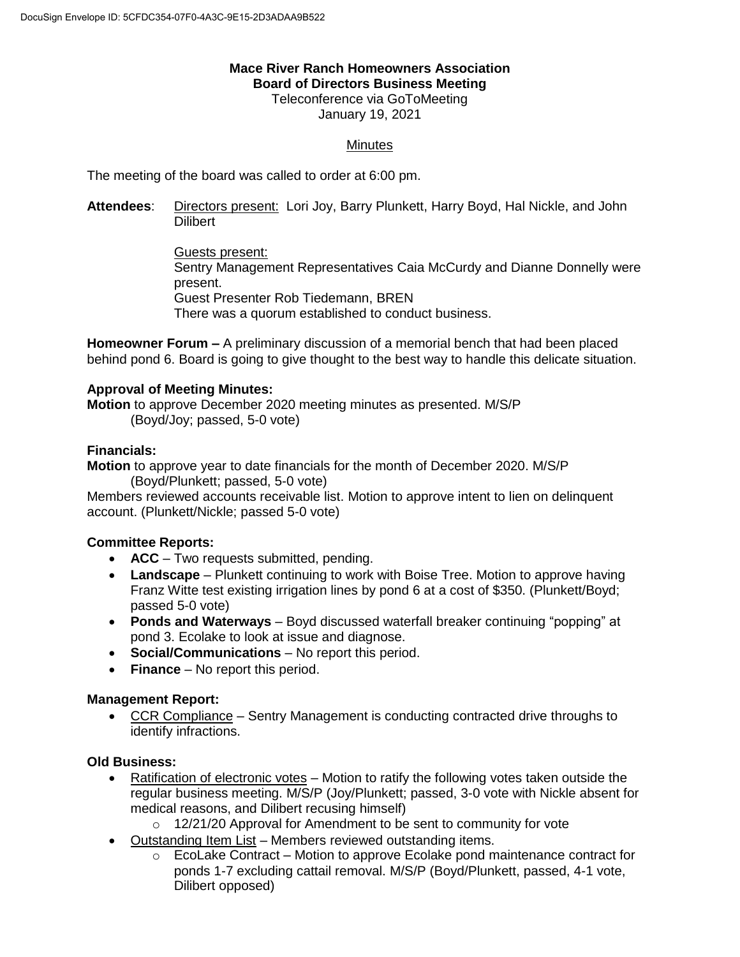## **Mace River Ranch Homeowners Association Board of Directors Business Meeting**

Teleconference via GoToMeeting January 19, 2021

# **Minutes**

The meeting of the board was called to order at 6:00 pm.

**Attendees**: Directors present: Lori Joy, Barry Plunkett, Harry Boyd, Hal Nickle, and John **Dilibert** 

> Guests present: Sentry Management Representatives Caia McCurdy and Dianne Donnelly were present. Guest Presenter Rob Tiedemann, BREN There was a quorum established to conduct business.

**Homeowner Forum –** A preliminary discussion of a memorial bench that had been placed behind pond 6. Board is going to give thought to the best way to handle this delicate situation.

#### **Approval of Meeting Minutes:**

**Motion** to approve December 2020 meeting minutes as presented. M/S/P (Boyd/Joy; passed, 5-0 vote)

## **Financials:**

**Motion** to approve year to date financials for the month of December 2020. M/S/P (Boyd/Plunkett; passed, 5-0 vote)

Members reviewed accounts receivable list. Motion to approve intent to lien on delinquent account. (Plunkett/Nickle; passed 5-0 vote)

## **Committee Reports:**

- **ACC** Two requests submitted, pending.
- **Landscape** Plunkett continuing to work with Boise Tree. Motion to approve having Franz Witte test existing irrigation lines by pond 6 at a cost of \$350. (Plunkett/Boyd; passed 5-0 vote)
- **Ponds and Waterways** Boyd discussed waterfall breaker continuing "popping" at pond 3. Ecolake to look at issue and diagnose.
- **Social/Communications** No report this period.
- **Finance** No report this period.

## **Management Report:**

 CCR Compliance – Sentry Management is conducting contracted drive throughs to identify infractions.

## **Old Business:**

- Ratification of electronic votes Motion to ratify the following votes taken outside the regular business meeting. M/S/P (Joy/Plunkett; passed, 3-0 vote with Nickle absent for medical reasons, and Dilibert recusing himself)
	- o 12/21/20 Approval for Amendment to be sent to community for vote
- Outstanding Item List Members reviewed outstanding items.
	- $\circ$  EcoLake Contract Motion to approve Ecolake pond maintenance contract for ponds 1-7 excluding cattail removal. M/S/P (Boyd/Plunkett, passed, 4-1 vote, Dilibert opposed)